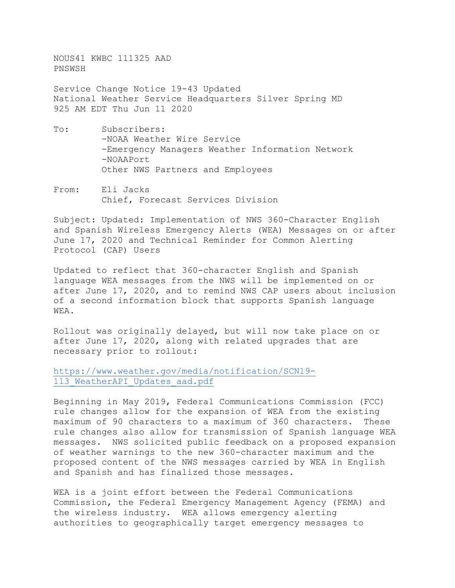NOUS41 KWBC 111325 AAD PNSWSH

Service Change Notice 19-43 Updated National Weather Service Headquarters Silver Spring MD 925 AM EDT Thu Jun 11 2020

- To: Subscribers: -NOAA Weather Wire Service -Emergency Managers Weather Information Network -NOAAPort Other NWS Partners and Employees
- From: Eli Jacks Chief, Forecast Services Division

Subject: Updated: Implementation of NWS 360-Character English and Spanish Wireless Emergency Alerts (WEA) Messages on or after June 17, 2020 and Technical Reminder for Common Alerting Protocol (CAP) Users

Updated to reflect that 360-character English and Spanish language WEA messages from the NWS will be implemented on or after June 17, 2020, and to remind NWS CAP users about inclusion of a second information block that supports Spanish language WEA.

Rollout was originally delayed, but will now take place on or after June 17, 2020, along with related upgrades that are necessary prior to rollout:

[https://www.weather.gov/media/notification/SCN19-](https://www.weather.gov/media/notification/SCN19-113_WeatherAPI_Updates_aad.pdf) 113 WeatherAPI Updates aad.pdf

Beginning in May 2019, Federal Communications Commission (FCC) rule changes allow for the expansion of WEA from the existing maximum of 90 characters to a maximum of 360 characters. These rule changes also allow for transmission of Spanish language WEA messages. NWS solicited public feedback on a proposed expansion of weather warnings to the new 360-character maximum and the proposed content of the NWS messages carried by WEA in English and Spanish and has finalized those messages.

WEA is a joint effort between the Federal Communications Commission, the Federal Emergency Management Agency (FEMA) and the wireless industry. WEA allows emergency alerting authorities to geographically target emergency messages to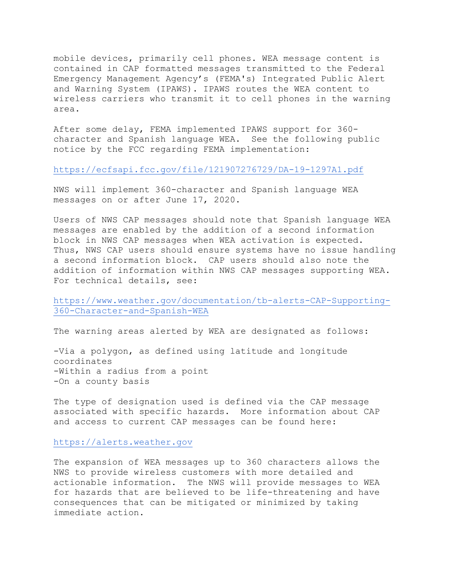mobile devices, primarily cell phones. WEA message content is contained in CAP formatted messages transmitted to the Federal Emergency Management Agency's (FEMA's) Integrated Public Alert and Warning System (IPAWS). IPAWS routes the WEA content to wireless carriers who transmit it to cell phones in the warning area.

After some delay, FEMA implemented IPAWS support for 360 character and Spanish language WEA. See the following public notice by the FCC regarding FEMA implementation:

## <https://ecfsapi.fcc.gov/file/121907276729/DA-19-1297A1.pdf>

NWS will implement 360-character and Spanish language WEA messages on or after June 17, 2020.

Users of NWS CAP messages should note that Spanish language WEA messages are enabled by the addition of a second information block in NWS CAP messages when WEA activation is expected. Thus, NWS CAP users should ensure systems have no issue handling a second information block. CAP users should also note the addition of information within NWS CAP messages supporting WEA. For technical details, see:

## [https://www.weather.gov/documentation/tb-alerts-CAP-Supporting-](https://www.weather.gov/documentation/tb-alerts-CAP-Supporting-360-Character-and-Spanish-WEA)[360-Character-and-Spanish-WEA](https://www.weather.gov/documentation/tb-alerts-CAP-Supporting-360-Character-and-Spanish-WEA)

The warning areas alerted by WEA are designated as follows:

-Via a polygon, as defined using latitude and longitude coordinates -Within a radius from a point -On a county basis

The type of designation used is defined via the CAP message associated with specific hazards. More information about CAP and access to current CAP messages can be found here:

## [https://alerts.weather.gov](https://alerts.weather.gov/)

The expansion of WEA messages up to 360 characters allows the NWS to provide wireless customers with more detailed and<br>actionable information. The NWS will provide messages to The NWS will provide messages to WEA for hazards that are believed to be life-threatening and have consequences that can be mitigated or minimized by taking immediate action.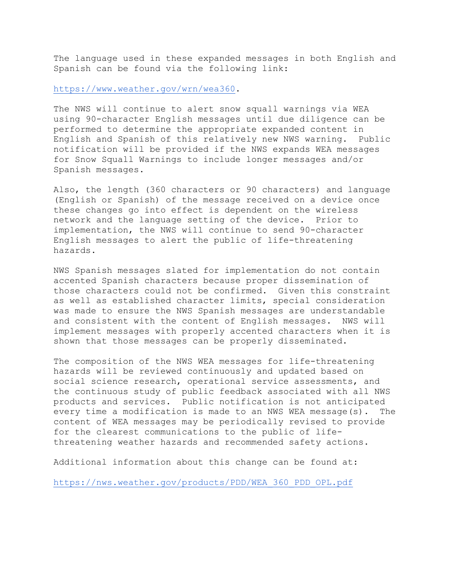The language used in these expanded messages in both English and Spanish can be found via the following link:

[https://www.weather.gov/wrn/wea360.](https://www.weather.gov/wrn/wea360)

The NWS will continue to alert snow squall warnings via WEA using 90-character English messages until due diligence can be performed to determine the appropriate expanded content in<br>English and Spanish of this relatively new NWS warning. Public English and Spanish of this relatively new NWS warning. notification will be provided if the NWS expands WEA messages for Snow Squall Warnings to include longer messages and/or Spanish messages.

Also, the length (360 characters or 90 characters) and language (English or Spanish) of the message received on a device once these changes go into effect is dependent on the wireless network and the language setting of the device. Prior to implementation, the NWS will continue to send 90-character English messages to alert the public of life-threatening hazards.

NWS Spanish messages slated for implementation do not contain accented Spanish characters because proper dissemination of those characters could not be confirmed. Given this constraint as well as established character limits, special consideration was made to ensure the NWS Spanish messages are understandable and consistent with the content of English messages. NWS will implement messages with properly accented characters when it is shown that those messages can be properly disseminated.

The composition of the NWS WEA messages for life-threatening hazards will be reviewed continuously and updated based on social science research, operational service assessments, and the continuous study of public feedback associated with all NWS products and services. Public notification is not anticipated every time a modification is made to an NWS WEA message(s). The content of WEA messages may be periodically revised to provide for the clearest communications to the public of lifethreatening weather hazards and recommended safety actions.

Additional information about this change can be found at:

[https://nws.weather.gov/products/PDD/WEA\\_360\\_PDD\\_OPL.pdf](https://nws.weather.gov/products/PDD/WEA_360_PDD_OPL.pdf)